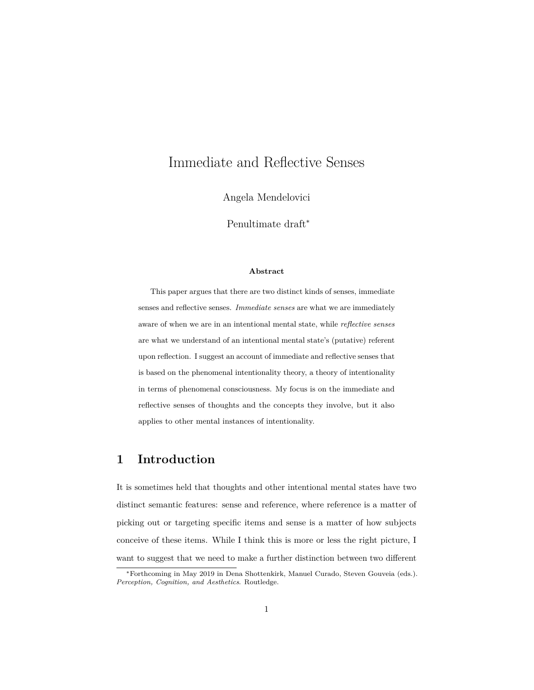## Immediate and Reflective Senses

Angela Mendelovici

Penultimate draft<sup>∗</sup>

#### **Abstract**

This paper argues that there are two distinct kinds of senses, immediate senses and reflective senses. *Immediate senses* are what we are immediately aware of when we are in an intentional mental state, while *reflective senses* are what we understand of an intentional mental state's (putative) referent upon reflection. I suggest an account of immediate and reflective senses that is based on the phenomenal intentionality theory, a theory of intentionality in terms of phenomenal consciousness. My focus is on the immediate and reflective senses of thoughts and the concepts they involve, but it also applies to other mental instances of intentionality.

## **1 Introduction**

It is sometimes held that thoughts and other intentional mental states have two distinct semantic features: sense and reference, where reference is a matter of picking out or targeting specific items and sense is a matter of how subjects conceive of these items. While I think this is more or less the right picture, I want to suggest that we need to make a further distinction between two different

<sup>∗</sup>Forthcoming in May 2019 in Dena Shottenkirk, Manuel Curado, Steven Gouveia (eds.). *Perception, Cognition, and Aesthetics*. Routledge.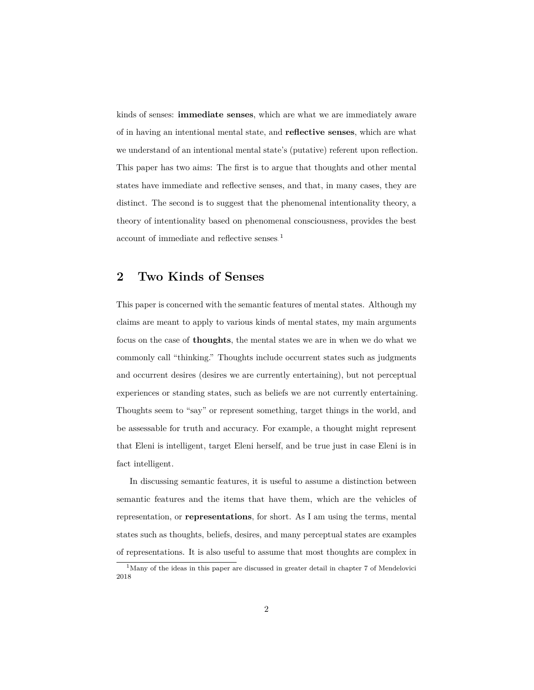kinds of senses: **immediate senses**, which are what we are immediately aware of in having an intentional mental state, and **reflective senses**, which are what we understand of an intentional mental state's (putative) referent upon reflection. This paper has two aims: The first is to argue that thoughts and other mental states have immediate and reflective senses, and that, in many cases, they are distinct. The second is to suggest that the phenomenal intentionality theory, a theory of intentionality based on phenomenal consciousness, provides the best account of immediate and reflective senses.<sup>[1](#page-1-0)</sup>

### **2 Two Kinds of Senses**

This paper is concerned with the semantic features of mental states. Although my claims are meant to apply to various kinds of mental states, my main arguments focus on the case of **thoughts**, the mental states we are in when we do what we commonly call "thinking." Thoughts include occurrent states such as judgments and occurrent desires (desires we are currently entertaining), but not perceptual experiences or standing states, such as beliefs we are not currently entertaining. Thoughts seem to "say" or represent something, target things in the world, and be assessable for truth and accuracy. For example, a thought might represent that Eleni is intelligent, target Eleni herself, and be true just in case Eleni is in fact intelligent.

In discussing semantic features, it is useful to assume a distinction between semantic features and the items that have them, which are the vehicles of representation, or **representations**, for short. As I am using the terms, mental states such as thoughts, beliefs, desires, and many perceptual states are examples of representations. It is also useful to assume that most thoughts are complex in

<span id="page-1-0"></span><sup>&</sup>lt;sup>1</sup>Many of the ideas in this paper are discussed in greater detail in chapter 7 of [Mendelovici](#page-31-0) [2018.](#page-31-0)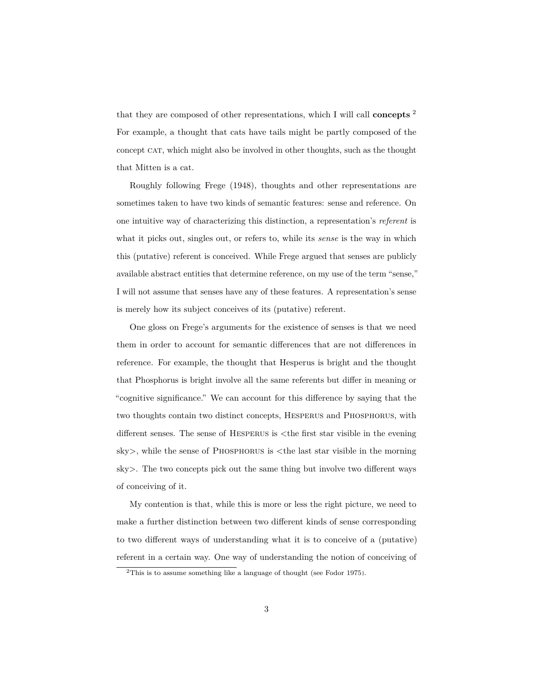that they are composed of other representations, which I will call **concepts**. [2](#page-2-0) For example, a thought that cats have tails might be partly composed of the concept cat, which might also be involved in other thoughts, such as the thought that Mitten is a cat.

Roughly following [Frege](#page-29-0) (1948), thoughts and other representations are sometimes taken to have two kinds of semantic features: sense and reference. On one intuitive way of characterizing this distinction, a representation's *referent* is what it picks out, singles out, or refers to, while its *sense* is the way in which this (putative) referent is conceived. While Frege argued that senses are publicly available abstract entities that determine reference, on my use of the term "sense," I will not assume that senses have any of these features. A representation's sense is merely how its subject conceives of its (putative) referent.

One gloss on Frege's arguments for the existence of senses is that we need them in order to account for semantic differences that are not differences in reference. For example, the thought that Hesperus is bright and the thought that Phosphorus is bright involve all the same referents but differ in meaning or "cognitive significance." We can account for this difference by saying that the two thoughts contain two distinct concepts, Hesperus and Phosphorus, with different senses. The sense of HESPERUS is  $\lt$ the first star visible in the evening sky>, while the sense of PHOSPHORUS is  $\lt$ the last star visible in the morning sky>. The two concepts pick out the same thing but involve two different ways of conceiving of it.

My contention is that, while this is more or less the right picture, we need to make a further distinction between two different kinds of sense corresponding to two different ways of understanding what it is to conceive of a (putative) referent in a certain way. One way of understanding the notion of conceiving of

<span id="page-2-0"></span><sup>2</sup>This is to assume something like a language of thought (see [Fodor 1975\)](#page-29-1).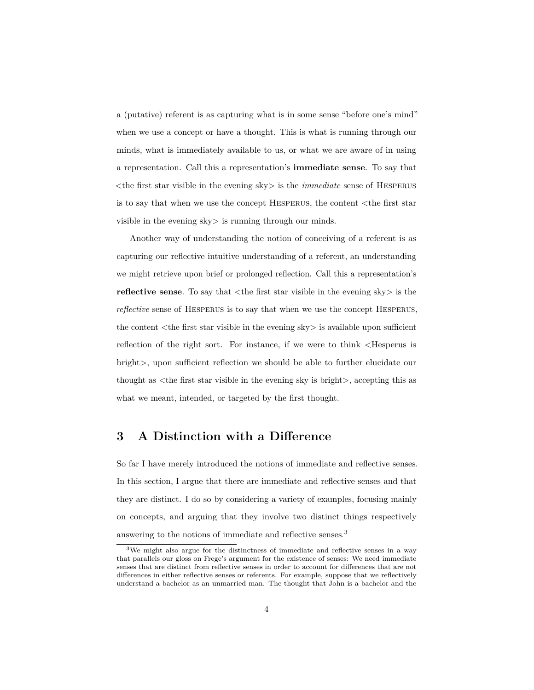a (putative) referent is as capturing what is in some sense "before one's mind" when we use a concept or have a thought. This is what is running through our minds, what is immediately available to us, or what we are aware of in using a representation. Call this a representation's **immediate sense**. To say that <the first star visible in the evening sky> is the *immediate* sense of Hesperus is to say that when we use the concept Hesperus, the content <the first star visible in the evening sky> is running through our minds.

Another way of understanding the notion of conceiving of a referent is as capturing our reflective intuitive understanding of a referent, an understanding we might retrieve upon brief or prolonged reflection. Call this a representation's **reflective sense**. To say that  $\langle$  the first star visible in the evening sky is the *reflective* sense of HESPERUS is to say that when we use the concept HESPERUS, the content  $\lt$ the first star visible in the evening sky is available upon sufficient reflection of the right sort. For instance, if we were to think <Hesperus is bright>, upon sufficient reflection we should be able to further elucidate our thought as  $\lt$ the first star visible in the evening sky is bright $>$ , accepting this as what we meant, intended, or targeted by the first thought.

## **3 A Distinction with a Difference**

So far I have merely introduced the notions of immediate and reflective senses. In this section, I argue that there are immediate and reflective senses and that they are distinct. I do so by considering a variety of examples, focusing mainly on concepts, and arguing that they involve two distinct things respectively answering to the notions of immediate and reflective senses.<sup>[3](#page-3-0)</sup>

<span id="page-3-0"></span><sup>3</sup>We might also argue for the distinctness of immediate and reflective senses in a way that parallels our gloss on Frege's argument for the existence of senses: We need immediate senses that are distinct from reflective senses in order to account for differences that are not differences in either reflective senses or referents. For example, suppose that we reflectively understand a bachelor as an unmarried man. The thought that John is a bachelor and the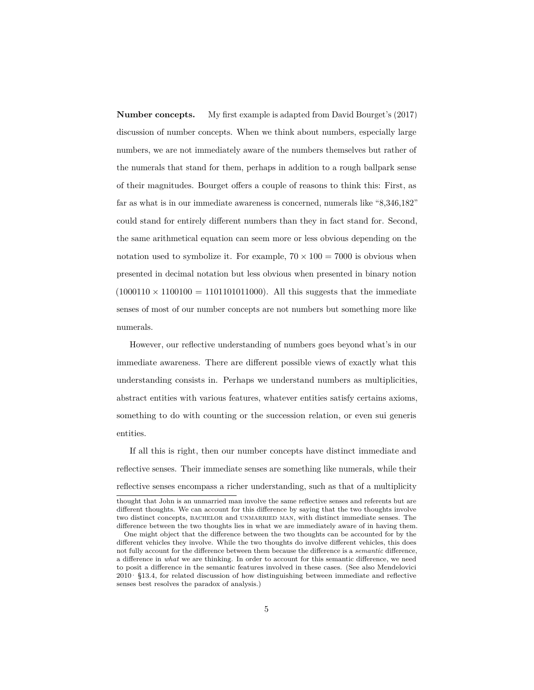**Number concepts.** My first example is adapted from David Bourget's [\(2017\)](#page-29-2) discussion of number concepts. When we think about numbers, especially large numbers, we are not immediately aware of the numbers themselves but rather of the numerals that stand for them, perhaps in addition to a rough ballpark sense of their magnitudes. Bourget offers a couple of reasons to think this: First, as far as what is in our immediate awareness is concerned, numerals like "8,346,182" could stand for entirely different numbers than they in fact stand for. Second, the same arithmetical equation can seem more or less obvious depending on the notation used to symbolize it. For example,  $70 \times 100 = 7000$  is obvious when presented in decimal notation but less obvious when presented in binary notion  $(1000110 \times 1100100 = 1101101011000)$ . All this suggests that the immediate senses of most of our number concepts are not numbers but something more like numerals.

However, our reflective understanding of numbers goes beyond what's in our immediate awareness. There are different possible views of exactly what this understanding consists in. Perhaps we understand numbers as multiplicities, abstract entities with various features, whatever entities satisfy certains axioms, something to do with counting or the succession relation, or even sui generis entities.

If all this is right, then our number concepts have distinct immediate and reflective senses. Their immediate senses are something like numerals, while their reflective senses encompass a richer understanding, such as that of a multiplicity

thought that John is an unmarried man involve the same reflective senses and referents but are different thoughts. We can account for this difference by saying that the two thoughts involve two distinct concepts, BACHELOR and UNMARRIED MAN, with distinct immediate senses. The difference between the two thoughts lies in what we are immediately aware of in having them.

One might object that the difference between the two thoughts can be accounted for by the different vehicles they involve. While the two thoughts do involve different vehicles, this does not fully account for the difference between them because the difference is a *semantic* difference, a difference in *what* we are thinking. In order to account for this semantic difference, we need to posit a difference in the semantic features involved in these cases. (See also [Mendelovici](#page-30-0) [2010](#page-30-0)*:* §13.4, for related discussion of how distinguishing between immediate and reflective senses best resolves the paradox of analysis.)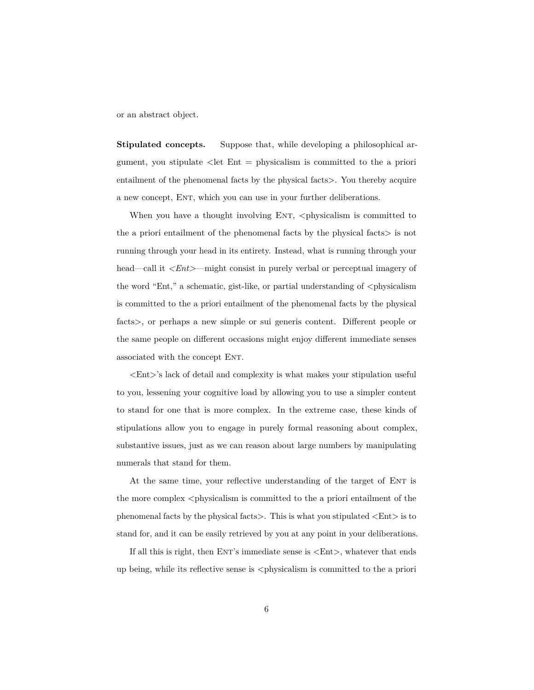or an abstract object.

**Stipulated concepts.** Suppose that, while developing a philosophical argument, you stipulate  $\leq$  let  $Ent =$  physicalism is committed to the a priori entailment of the phenomenal facts by the physical facts>. You thereby acquire a new concept, ENT, which you can use in your further deliberations.

When you have a thought involving  $ENT$ ,  $\langle$ physicalism is committed to the a priori entailment of the phenomenal facts by the physical facts> is not running through your head in its entirety. Instead, what is running through your head—call it *<Ent>*—might consist in purely verbal or perceptual imagery of the word "Ent," a schematic, gist-like, or partial understanding of  $\langle$ physicalism is committed to the a priori entailment of the phenomenal facts by the physical facts>, or perhaps a new simple or sui generis content. Different people or the same people on different occasions might enjoy different immediate senses associated with the concept Ent.

<Ent>'s lack of detail and complexity is what makes your stipulation useful to you, lessening your cognitive load by allowing you to use a simpler content to stand for one that is more complex. In the extreme case, these kinds of stipulations allow you to engage in purely formal reasoning about complex, substantive issues, just as we can reason about large numbers by manipulating numerals that stand for them.

At the same time, your reflective understanding of the target of ENT is the more complex  $\langle$  physicalism is committed to the a priori entailment of the phenomenal facts by the physical facts  $>$ . This is what you stipulated  $\langle Ent \rangle$  is to stand for, and it can be easily retrieved by you at any point in your deliberations.

If all this is right, then  $ENT$ 's immediate sense is  $\leq Ent$ , whatever that ends up being, while its reflective sense is  $\langle$ physicalism is committed to the a priori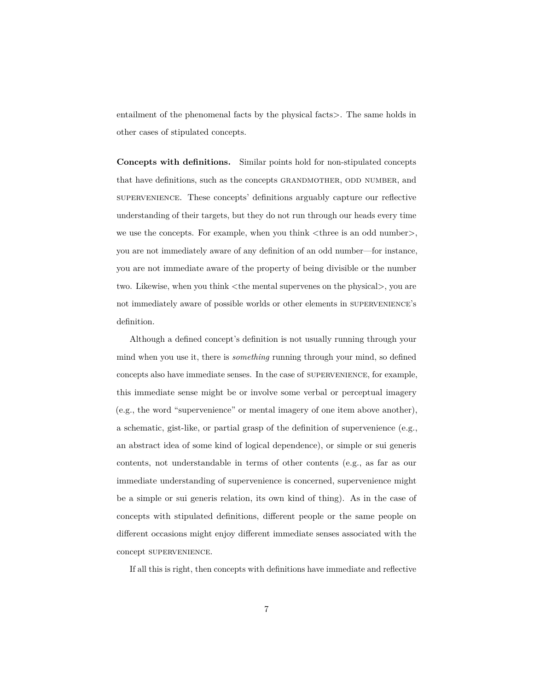entailment of the phenomenal facts by the physical facts>. The same holds in other cases of stipulated concepts.

**Concepts with definitions.** Similar points hold for non-stipulated concepts that have definitions, such as the concepts GRANDMOTHER, ODD NUMBER, and supervenience. These concepts' definitions arguably capture our reflective understanding of their targets, but they do not run through our heads every time we use the concepts. For example, when you think <three is an odd number>, you are not immediately aware of any definition of an odd number—for instance, you are not immediate aware of the property of being divisible or the number two. Likewise, when you think <the mental supervenes on the physical>, you are not immediately aware of possible worlds or other elements in supervenience's definition.

Although a defined concept's definition is not usually running through your mind when you use it, there is *something* running through your mind, so defined concepts also have immediate senses. In the case of supervenience, for example, this immediate sense might be or involve some verbal or perceptual imagery (e.g., the word "supervenience" or mental imagery of one item above another), a schematic, gist-like, or partial grasp of the definition of supervenience (e.g., an abstract idea of some kind of logical dependence), or simple or sui generis contents, not understandable in terms of other contents (e.g., as far as our immediate understanding of supervenience is concerned, supervenience might be a simple or sui generis relation, its own kind of thing). As in the case of concepts with stipulated definitions, different people or the same people on different occasions might enjoy different immediate senses associated with the concept supervenience.

If all this is right, then concepts with definitions have immediate and reflective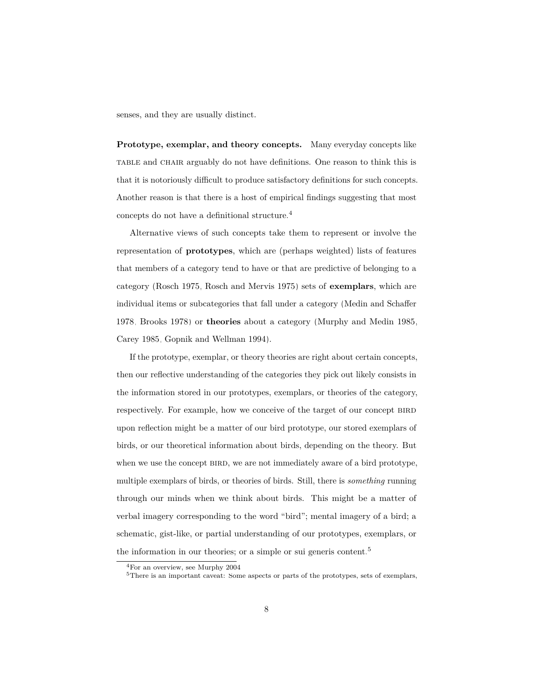senses, and they are usually distinct.

**Prototype, exemplar, and theory concepts.** Many everyday concepts like table and chair arguably do not have definitions. One reason to think this is that it is notoriously difficult to produce satisfactory definitions for such concepts. Another reason is that there is a host of empirical findings suggesting that most concepts do not have a definitional structure.[4](#page-7-0)

Alternative views of such concepts take them to represent or involve the representation of **prototypes**, which are (perhaps weighted) lists of features that members of a category tend to have or that are predictive of belonging to a category [\(Rosch 1975,](#page-32-0) [Rosch and Mervis 1975\)](#page-32-1) sets of **exemplars**, which are individual items or subcategories that fall under a category [\(Medin and Schaffer](#page-30-1) [1978,](#page-30-1) [Brooks 1978\)](#page-29-3) or **theories** about a category [\(Murphy and Medin 1985,](#page-31-1) [Carey 1985,](#page-29-4) [Gopnik and Wellman 1994\)](#page-30-2).

If the prototype, exemplar, or theory theories are right about certain concepts, then our reflective understanding of the categories they pick out likely consists in the information stored in our prototypes, exemplars, or theories of the category, respectively. For example, how we conceive of the target of our concept BIRD upon reflection might be a matter of our bird prototype, our stored exemplars of birds, or our theoretical information about birds, depending on the theory. But when we use the concept BIRD, we are not immediately aware of a bird prototype, multiple exemplars of birds, or theories of birds. Still, there is *something* running through our minds when we think about birds. This might be a matter of verbal imagery corresponding to the word "bird"; mental imagery of a bird; a schematic, gist-like, or partial understanding of our prototypes, exemplars, or the information in our theories; or a simple or sui generis content.[5](#page-7-1)

<span id="page-7-0"></span><sup>&</sup>lt;sup>4</sup>For an overview, see [Murphy 2004.](#page-31-2)

<span id="page-7-1"></span><sup>5</sup>There is an important caveat: Some aspects or parts of the prototypes, sets of exemplars,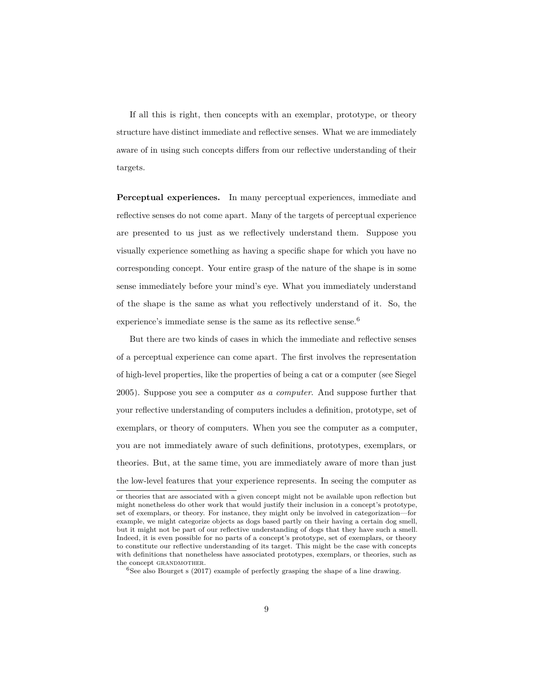If all this is right, then concepts with an exemplar, prototype, or theory structure have distinct immediate and reflective senses. What we are immediately aware of in using such concepts differs from our reflective understanding of their targets.

**Perceptual experiences.** In many perceptual experiences, immediate and reflective senses do not come apart. Many of the targets of perceptual experience are presented to us just as we reflectively understand them. Suppose you visually experience something as having a specific shape for which you have no corresponding concept. Your entire grasp of the nature of the shape is in some sense immediately before your mind's eye. What you immediately understand of the shape is the same as what you reflectively understand of it. So, the experience's immediate sense is the same as its reflective sense.<sup>[6](#page-8-0)</sup>

But there are two kinds of cases in which the immediate and reflective senses of a perceptual experience can come apart. The first involves the representation of high-level properties, like the properties of being a cat or a computer (see [Siegel](#page-32-2) [2005\)](#page-32-2). Suppose you see a computer *as a computer*. And suppose further that your reflective understanding of computers includes a definition, prototype, set of exemplars, or theory of computers. When you see the computer as a computer, you are not immediately aware of such definitions, prototypes, exemplars, or theories. But, at the same time, you are immediately aware of more than just the low-level features that your experience represents. In seeing the computer as

or theories that are associated with a given concept might not be available upon reflection but might nonetheless do other work that would justify their inclusion in a concept's prototype, set of exemplars, or theory. For instance, they might only be involved in categorization—for example, we might categorize objects as dogs based partly on their having a certain dog smell, but it might not be part of our reflective understanding of dogs that they have such a smell. Indeed, it is even possible for no parts of a concept's prototype, set of exemplars, or theory to constitute our reflective understanding of its target. This might be the case with concepts with definitions that nonetheless have associated prototypes, exemplars, or theories, such as the concept GRANDMOTHER.

<span id="page-8-0"></span> $6$ See also [Bourget'](#page-29-2)s (2017) example of perfectly grasping the shape of a line drawing.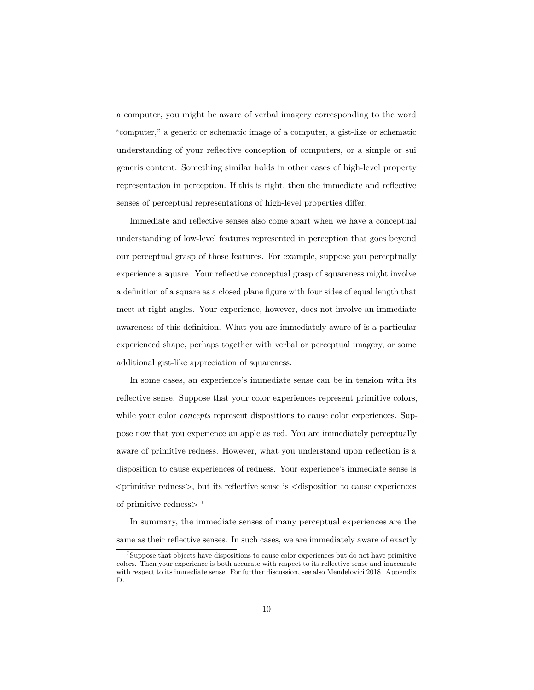a computer, you might be aware of verbal imagery corresponding to the word "computer," a generic or schematic image of a computer, a gist-like or schematic understanding of your reflective conception of computers, or a simple or sui generis content. Something similar holds in other cases of high-level property representation in perception. If this is right, then the immediate and reflective senses of perceptual representations of high-level properties differ.

Immediate and reflective senses also come apart when we have a conceptual understanding of low-level features represented in perception that goes beyond our perceptual grasp of those features. For example, suppose you perceptually experience a square. Your reflective conceptual grasp of squareness might involve a definition of a square as a closed plane figure with four sides of equal length that meet at right angles. Your experience, however, does not involve an immediate awareness of this definition. What you are immediately aware of is a particular experienced shape, perhaps together with verbal or perceptual imagery, or some additional gist-like appreciation of squareness.

In some cases, an experience's immediate sense can be in tension with its reflective sense. Suppose that your color experiences represent primitive colors, while your color *concepts* represent dispositions to cause color experiences. Suppose now that you experience an apple as red. You are immediately perceptually aware of primitive redness. However, what you understand upon reflection is a disposition to cause experiences of redness. Your experience's immediate sense is <primitive redness>, but its reflective sense is <disposition to cause experiences of primitive redness>.[7](#page-9-0)

In summary, the immediate senses of many perceptual experiences are the same as their reflective senses. In such cases, we are immediately aware of exactly

<span id="page-9-0"></span><sup>7</sup>Suppose that objects have dispositions to cause color experiences but do not have primitive colors. Then your experience is both accurate with respect to its reflective sense and inaccurate with respect to its immediate sense. For further discussion, see also [Mendelovici 2018:](#page-31-0) Appendix D.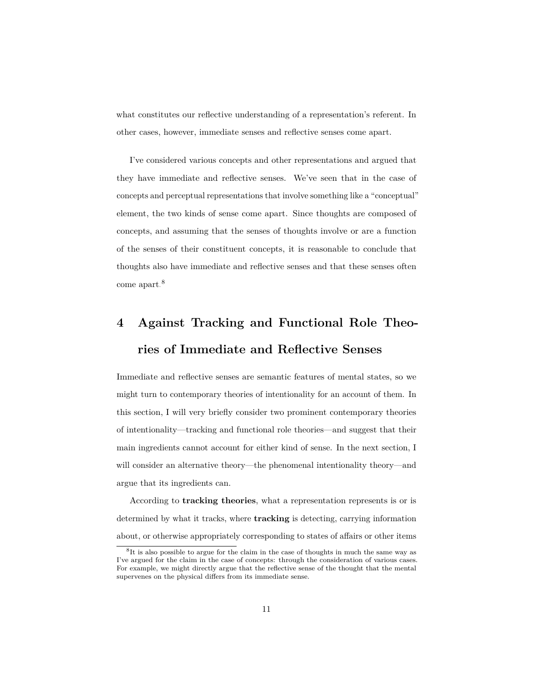what constitutes our reflective understanding of a representation's referent. In other cases, however, immediate senses and reflective senses come apart.

I've considered various concepts and other representations and argued that they have immediate and reflective senses. We've seen that in the case of concepts and perceptual representations that involve something like a "conceptual" element, the two kinds of sense come apart. Since thoughts are composed of concepts, and assuming that the senses of thoughts involve or are a function of the senses of their constituent concepts, it is reasonable to conclude that thoughts also have immediate and reflective senses and that these senses often come apart.[8](#page-10-0)

# <span id="page-10-1"></span>**4 Against Tracking and Functional Role Theories of Immediate and Reflective Senses**

Immediate and reflective senses are semantic features of mental states, so we might turn to contemporary theories of intentionality for an account of them. In this section, I will very briefly consider two prominent contemporary theories of intentionality—tracking and functional role theories—and suggest that their main ingredients cannot account for either kind of sense. In the next section, I will consider an alternative theory—the phenomenal intentionality theory—and argue that its ingredients can.

According to **tracking theories**, what a representation represents is or is determined by what it tracks, where **tracking** is detecting, carrying information about, or otherwise appropriately corresponding to states of affairs or other items

<span id="page-10-0"></span><sup>&</sup>lt;sup>8</sup>It is also possible to argue for the claim in the case of thoughts in much the same way as I've argued for the claim in the case of concepts: through the consideration of various cases. For example, we might directly argue that the reflective sense of the thought that the mental supervenes on the physical differs from its immediate sense.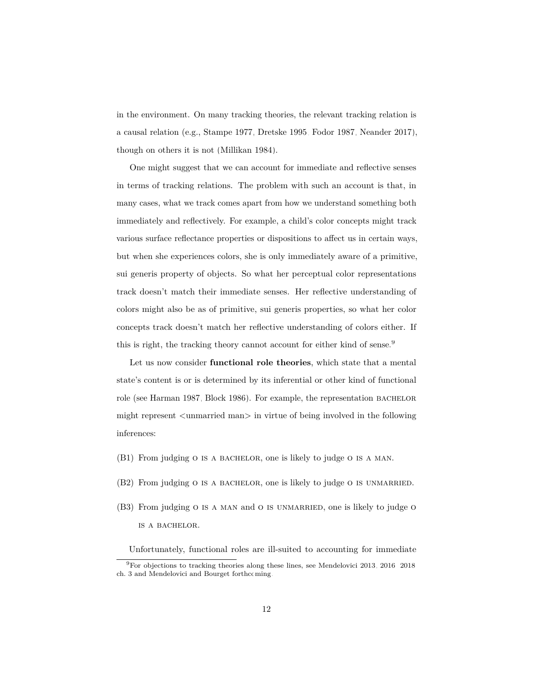in the environment. On many tracking theories, the relevant tracking relation is a causal relation (e.g., [Stampe 1977,](#page-32-3) [Dretske 1995,](#page-29-5) [Fodor 1987,](#page-29-6) [Neander 2017\)](#page-31-3), though on others it is not [\(Millikan 1984\)](#page-31-4).

One might suggest that we can account for immediate and reflective senses in terms of tracking relations. The problem with such an account is that, in many cases, what we track comes apart from how we understand something both immediately and reflectively. For example, a child's color concepts might track various surface reflectance properties or dispositions to affect us in certain ways, but when she experiences colors, she is only immediately aware of a primitive, sui generis property of objects. So what her perceptual color representations track doesn't match their immediate senses. Her reflective understanding of colors might also be as of primitive, sui generis properties, so what her color concepts track doesn't match her reflective understanding of colors either. If this is right, the tracking theory cannot account for either kind of sense.<sup>[9](#page-11-0)</sup>

Let us now consider **functional role theories**, which state that a mental state's content is or is determined by its inferential or other kind of functional role (see [Harman 1987,](#page-30-3) [Block 1986\)](#page-28-0). For example, the representation BACHELOR might represent <unmarried man> in virtue of being involved in the following inferences:

- (B1) From judging o is a bachelor, one is likely to judge o is a man.
- (B2) From judging O IS A BACHELOR, one is likely to judge O IS UNMARRIED.
- (B3) From judging O IS A MAN and O IS UNMARRIED, one is likely to judge O is a bachelor.

<span id="page-11-0"></span>Unfortunately, functional roles are ill-suited to accounting for immediate

 $9$ For objections to tracking theories along these lines, see [Mendelovici 2013,](#page-30-4) [2016,](#page-30-5) [2018:](#page-31-0) ch. 3 and Mendelovici and Bourget forthc[oming.](#page-31-5)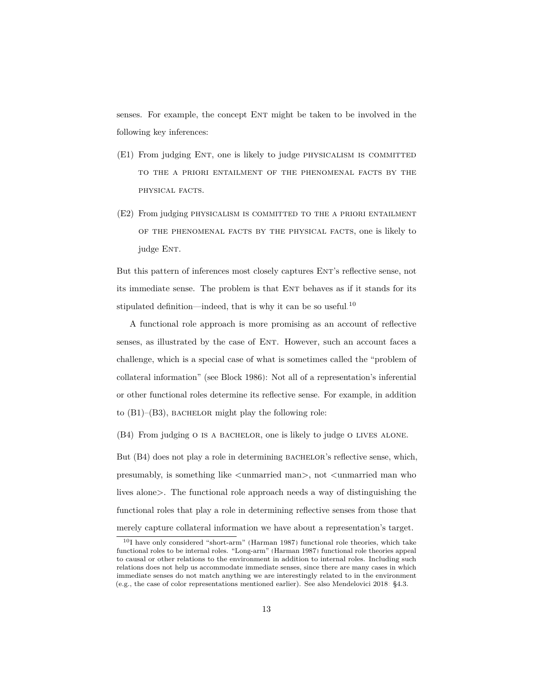senses. For example, the concept Ent might be taken to be involved in the following key inferences:

- (E1) From judging Ent, one is likely to judge physicalism is committed to the a priori entailment of the phenomenal facts by the physical facts.
- (E2) From judging physicalism is committed to the a priori entailment of the phenomenal facts by the physical facts, one is likely to judge ENT.

But this pattern of inferences most closely captures Ent's reflective sense, not its immediate sense. The problem is that Ent behaves as if it stands for its stipulated definition—indeed, that is why it can be so useful.<sup>[10](#page-12-0)</sup>

A functional role approach is more promising as an account of reflective senses, as illustrated by the case of Ent. However, such an account faces a challenge, which is a special case of what is sometimes called the "problem of collateral information" (see [Block 1986\)](#page-28-0): Not all of a representation's inferential or other functional roles determine its reflective sense. For example, in addition to  $(B1)$ – $(B3)$ , BACHELOR might play the following role:

(B4) From judging o is a bachelor, one is likely to judge o lives alone.

But (B4) does not play a role in determining BACHELOR's reflective sense, which, presumably, is something like <unmarried man>, not <unmarried man who lives alone>. The functional role approach needs a way of distinguishing the functional roles that play a role in determining reflective senses from those that merely capture collateral information we have about a representation's target.

<span id="page-12-0"></span> $10$ I have only considered "short-arm" [\(Harman 1987\)](#page-30-3) functional role theories, which take functional roles to be internal roles. "Long-arm" [\(Harman 1987\)](#page-30-3) functional role theories appeal to causal or other relations to the environment in addition to internal roles. Including such relations does not help us accommodate immediate senses, since there are many cases in which immediate senses do not match anything we are interestingly related to in the environment (e.g., the case of color representations mentioned earlier). See also [Mendelovici 2018:](#page-31-0) §4.3.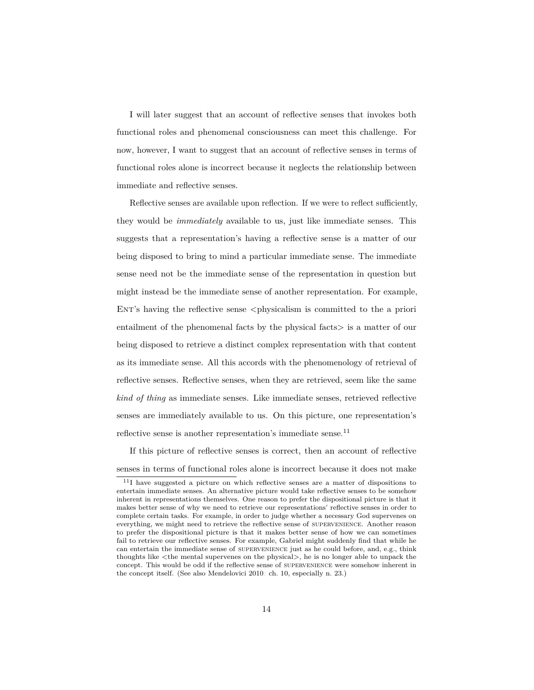I will later suggest that an account of reflective senses that invokes both functional roles and phenomenal consciousness can meet this challenge. For now, however, I want to suggest that an account of reflective senses in terms of functional roles alone is incorrect because it neglects the relationship between immediate and reflective senses.

Reflective senses are available upon reflection. If we were to reflect sufficiently, they would be *immediately* available to us, just like immediate senses. This suggests that a representation's having a reflective sense is a matter of our being disposed to bring to mind a particular immediate sense. The immediate sense need not be the immediate sense of the representation in question but might instead be the immediate sense of another representation. For example, ENT's having the reflective sense  $\langle$  physicalism is committed to the a priori entailment of the phenomenal facts by the physical facts is a matter of our being disposed to retrieve a distinct complex representation with that content as its immediate sense. All this accords with the phenomenology of retrieval of reflective senses. Reflective senses, when they are retrieved, seem like the same *kind of thing* as immediate senses. Like immediate senses, retrieved reflective senses are immediately available to us. On this picture, one representation's reflective sense is another representation's immediate sense.<sup>[11](#page-13-0)</sup>

If this picture of reflective senses is correct, then an account of reflective senses in terms of functional roles alone is incorrect because it does not make

<span id="page-13-0"></span><sup>11</sup>I have suggested a picture on which reflective senses are a matter of dispositions to entertain immediate senses. An alternative picture would take reflective senses to be somehow inherent in representations themselves. One reason to prefer the dispositional picture is that it makes better sense of why we need to retrieve our representations' reflective senses in order to complete certain tasks. For example, in order to judge whether a necessary God supervenes on everything, we might need to retrieve the reflective sense of SUPERVENIENCE. Another reason to prefer the dispositional picture is that it makes better sense of how we can sometimes fail to retrieve our reflective senses. For example, Gabriel might suddenly find that while he can entertain the immediate sense of supervenience just as he could before, and, e.g., think thoughts like <the mental supervenes on the physical>, he is no longer able to unpack the concept. This would be odd if the reflective sense of supervenience were somehow inherent in the concept itself. (See also [Mendelovici 2010:](#page-30-0) ch. 10, especially n. 23.)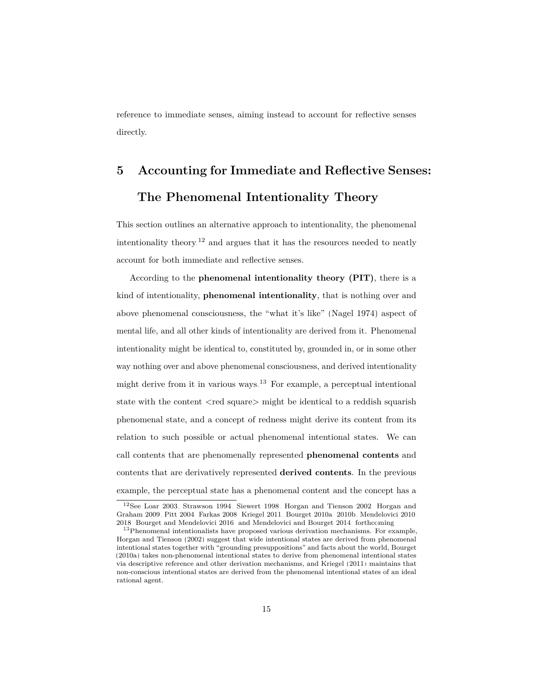reference to immediate senses, aiming instead to account for reflective senses directly.

# **5 Accounting for Immediate and Reflective Senses: The Phenomenal Intentionality Theory**

This section outlines an alternative approach to intentionality, the phenomenal intentionality theory,  $12$  and argues that it has the resources needed to neatly account for both immediate and reflective senses.

According to the **phenomenal intentionality theory (PIT)**, there is a kind of intentionality, **phenomenal intentionality**, that is nothing over and above phenomenal consciousness, the "what it's like" [\(Nagel 1974\)](#page-31-6) aspect of mental life, and all other kinds of intentionality are derived from it. Phenomenal intentionality might be identical to, constituted by, grounded in, or in some other way nothing over and above phenomenal consciousness, and derived intentionality might derive from it in various ways.<sup>[13](#page-14-1)</sup> For example, a perceptual intentional state with the content  $\langle$ red square $\rangle$  might be identical to a reddish squarish phenomenal state, and a concept of redness might derive its content from its relation to such possible or actual phenomenal intentional states. We can call contents that are phenomenally represented **phenomenal contents** and contents that are derivatively represented **derived contents**. In the previous example, the perceptual state has a phenomenal content and the concept has a

<span id="page-14-0"></span><sup>12</sup>See [Loar 2003,](#page-30-6) [Strawson 1994,](#page-32-4) [Siewert 1998,](#page-32-5) [Horgan and Tienson 2002,](#page-30-7) [Horgan and](#page-30-8) [Graham 2009,](#page-30-8) [Pitt 2004,](#page-31-7) [Farkas 2008,](#page-29-7) [Kriegel 2011,](#page-30-9) [Bourget 2010a,](#page-28-1) [2010b,](#page-29-8) [Mendelovici 2010,](#page-30-0) [2018,](#page-31-0) [Bourget and Mendelovici 2016,](#page-29-9) and [Mendelovici and Bourget 2014,](#page-31-8) forthc[oming.](#page-31-5)

<span id="page-14-1"></span><sup>&</sup>lt;sup>13</sup>Phenomenal intentionalists have proposed various derivation mechanisms. For example, [Horgan and Tienson](#page-30-7) [\(2002\)](#page-30-7) suggest that wide intentional states are derived from phenomenal intentional states together with "grounding presuppositions" and facts about the world, [Bourget](#page-28-1) [\(2010a\)](#page-28-1) takes non-phenomenal intentional states to derive from phenomenal intentional states via descriptive reference and other derivation mechanisms, and [Kriegel](#page-30-9) [\(2011\)](#page-30-9) maintains that non-conscious intentional states are derived from the phenomenal intentional states of an ideal rational agent.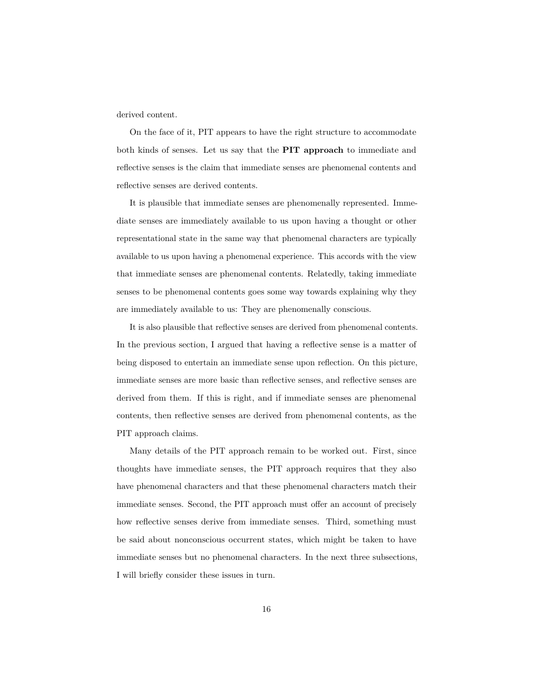derived content.

On the face of it, PIT appears to have the right structure to accommodate both kinds of senses. Let us say that the **PIT approach** to immediate and reflective senses is the claim that immediate senses are phenomenal contents and reflective senses are derived contents.

It is plausible that immediate senses are phenomenally represented. Immediate senses are immediately available to us upon having a thought or other representational state in the same way that phenomenal characters are typically available to us upon having a phenomenal experience. This accords with the view that immediate senses are phenomenal contents. Relatedly, taking immediate senses to be phenomenal contents goes some way towards explaining why they are immediately available to us: They are phenomenally conscious.

It is also plausible that reflective senses are derived from phenomenal contents. In the previous section, I argued that having a reflective sense is a matter of being disposed to entertain an immediate sense upon reflection. On this picture, immediate senses are more basic than reflective senses, and reflective senses are derived from them. If this is right, and if immediate senses are phenomenal contents, then reflective senses are derived from phenomenal contents, as the PIT approach claims.

Many details of the PIT approach remain to be worked out. First, since thoughts have immediate senses, the PIT approach requires that they also have phenomenal characters and that these phenomenal characters match their immediate senses. Second, the PIT approach must offer an account of precisely how reflective senses derive from immediate senses. Third, something must be said about nonconscious occurrent states, which might be taken to have immediate senses but no phenomenal characters. In the next three subsections, I will briefly consider these issues in turn.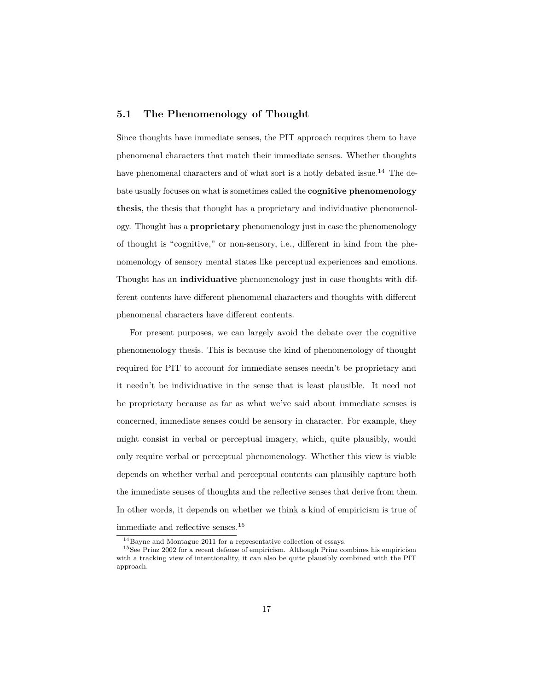#### **5.1 The Phenomenology of Thought**

Since thoughts have immediate senses, the PIT approach requires them to have phenomenal characters that match their immediate senses. Whether thoughts have phenomenal characters and of what sort is a hotly debated issue.<sup>[14](#page-16-0)</sup> The debate usually focuses on what is sometimes called the **cognitive phenomenology thesis**, the thesis that thought has a proprietary and individuative phenomenology. Thought has a **proprietary** phenomenology just in case the phenomenology of thought is "cognitive," or non-sensory, i.e., different in kind from the phenomenology of sensory mental states like perceptual experiences and emotions. Thought has an **individuative** phenomenology just in case thoughts with different contents have different phenomenal characters and thoughts with different phenomenal characters have different contents.

For present purposes, we can largely avoid the debate over the cognitive phenomenology thesis. This is because the kind of phenomenology of thought required for PIT to account for immediate senses needn't be proprietary and it needn't be individuative in the sense that is least plausible. It need not be proprietary because as far as what we've said about immediate senses is concerned, immediate senses could be sensory in character. For example, they might consist in verbal or perceptual imagery, which, quite plausibly, would only require verbal or perceptual phenomenology. Whether this view is viable depends on whether verbal and perceptual contents can plausibly capture both the immediate senses of thoughts and the reflective senses that derive from them. In other words, it depends on whether we think a kind of empiricism is true of immediate and reflective senses.<sup>[15](#page-16-1)</sup>

<span id="page-16-1"></span><span id="page-16-0"></span><sup>14</sup>[Bayne and Montague 2011](#page-28-2) for a representative collection of essays.

<sup>&</sup>lt;sup>15</sup>See [Prinz 2002](#page-31-9) for a recent defense of empiricism. Although Prinz combines his empiricism with a tracking view of intentionality, it can also be quite plausibly combined with the PIT approach.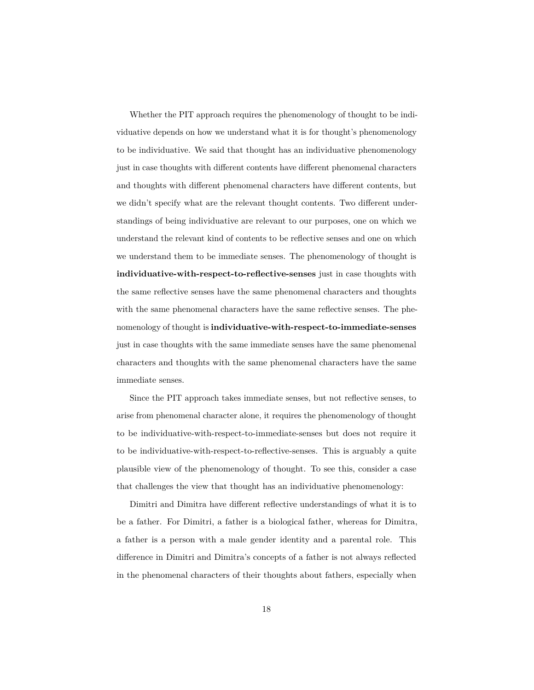Whether the PIT approach requires the phenomenology of thought to be individuative depends on how we understand what it is for thought's phenomenology to be individuative. We said that thought has an individuative phenomenology just in case thoughts with different contents have different phenomenal characters and thoughts with different phenomenal characters have different contents, but we didn't specify what are the relevant thought contents. Two different understandings of being individuative are relevant to our purposes, one on which we understand the relevant kind of contents to be reflective senses and one on which we understand them to be immediate senses. The phenomenology of thought is **individuative-with-respect-to-reflective-senses** just in case thoughts with the same reflective senses have the same phenomenal characters and thoughts with the same phenomenal characters have the same reflective senses. The phenomenology of thought is **individuative-with-respect-to-immediate-senses** just in case thoughts with the same immediate senses have the same phenomenal characters and thoughts with the same phenomenal characters have the same immediate senses.

Since the PIT approach takes immediate senses, but not reflective senses, to arise from phenomenal character alone, it requires the phenomenology of thought to be individuative-with-respect-to-immediate-senses but does not require it to be individuative-with-respect-to-reflective-senses. This is arguably a quite plausible view of the phenomenology of thought. To see this, consider a case that challenges the view that thought has an individuative phenomenology:

Dimitri and Dimitra have different reflective understandings of what it is to be a father. For Dimitri, a father is a biological father, whereas for Dimitra, a father is a person with a male gender identity and a parental role. This difference in Dimitri and Dimitra's concepts of a father is not always reflected in the phenomenal characters of their thoughts about fathers, especially when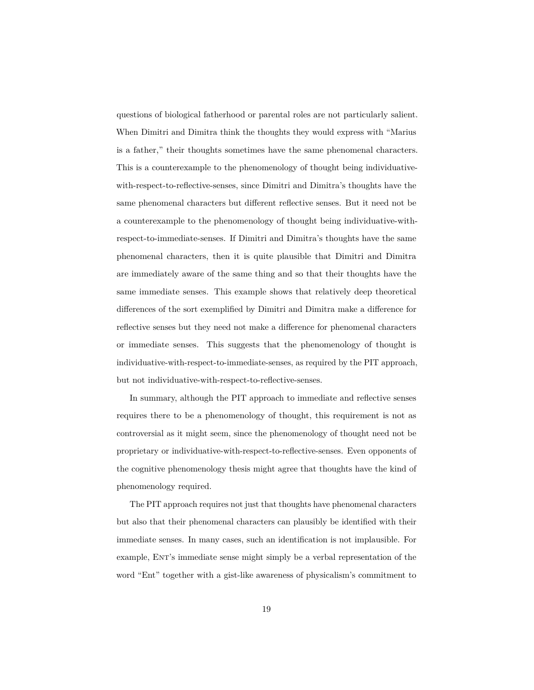questions of biological fatherhood or parental roles are not particularly salient. When Dimitri and Dimitra think the thoughts they would express with "Marius is a father," their thoughts sometimes have the same phenomenal characters. This is a counterexample to the phenomenology of thought being individuativewith-respect-to-reflective-senses, since Dimitri and Dimitra's thoughts have the same phenomenal characters but different reflective senses. But it need not be a counterexample to the phenomenology of thought being individuative-withrespect-to-immediate-senses. If Dimitri and Dimitra's thoughts have the same phenomenal characters, then it is quite plausible that Dimitri and Dimitra are immediately aware of the same thing and so that their thoughts have the same immediate senses. This example shows that relatively deep theoretical differences of the sort exemplified by Dimitri and Dimitra make a difference for reflective senses but they need not make a difference for phenomenal characters or immediate senses. This suggests that the phenomenology of thought is individuative-with-respect-to-immediate-senses, as required by the PIT approach, but not individuative-with-respect-to-reflective-senses.

In summary, although the PIT approach to immediate and reflective senses requires there to be a phenomenology of thought, this requirement is not as controversial as it might seem, since the phenomenology of thought need not be proprietary or individuative-with-respect-to-reflective-senses. Even opponents of the cognitive phenomenology thesis might agree that thoughts have the kind of phenomenology required.

The PIT approach requires not just that thoughts have phenomenal characters but also that their phenomenal characters can plausibly be identified with their immediate senses. In many cases, such an identification is not implausible. For example, Ent's immediate sense might simply be a verbal representation of the word "Ent" together with a gist-like awareness of physicalism's commitment to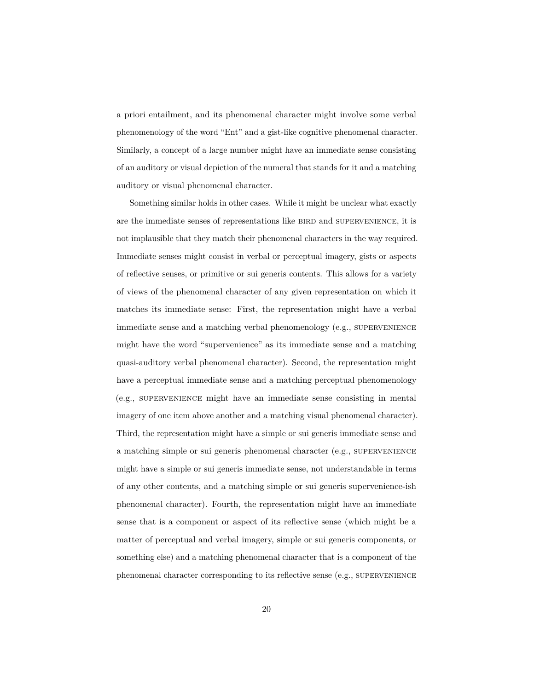a priori entailment, and its phenomenal character might involve some verbal phenomenology of the word "Ent" and a gist-like cognitive phenomenal character. Similarly, a concept of a large number might have an immediate sense consisting of an auditory or visual depiction of the numeral that stands for it and a matching auditory or visual phenomenal character.

Something similar holds in other cases. While it might be unclear what exactly are the immediate senses of representations like BIRD and SUPERVENIENCE, it is not implausible that they match their phenomenal characters in the way required. Immediate senses might consist in verbal or perceptual imagery, gists or aspects of reflective senses, or primitive or sui generis contents. This allows for a variety of views of the phenomenal character of any given representation on which it matches its immediate sense: First, the representation might have a verbal immediate sense and a matching verbal phenomenology (e.g., SUPERVENIENCE) might have the word "supervenience" as its immediate sense and a matching quasi-auditory verbal phenomenal character). Second, the representation might have a perceptual immediate sense and a matching perceptual phenomenology (e.g., supervenience might have an immediate sense consisting in mental imagery of one item above another and a matching visual phenomenal character). Third, the representation might have a simple or sui generis immediate sense and a matching simple or sui generis phenomenal character (e.g., supervenience might have a simple or sui generis immediate sense, not understandable in terms of any other contents, and a matching simple or sui generis supervenience-ish phenomenal character). Fourth, the representation might have an immediate sense that is a component or aspect of its reflective sense (which might be a matter of perceptual and verbal imagery, simple or sui generis components, or something else) and a matching phenomenal character that is a component of the phenomenal character corresponding to its reflective sense (e.g., supervenience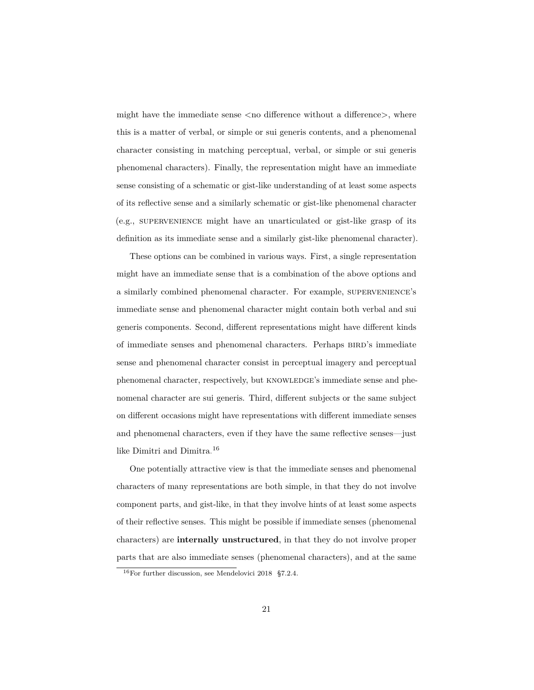might have the immediate sense  $\langle$ no difference without a difference $\rangle$ , where this is a matter of verbal, or simple or sui generis contents, and a phenomenal character consisting in matching perceptual, verbal, or simple or sui generis phenomenal characters). Finally, the representation might have an immediate sense consisting of a schematic or gist-like understanding of at least some aspects of its reflective sense and a similarly schematic or gist-like phenomenal character (e.g., supervenience might have an unarticulated or gist-like grasp of its definition as its immediate sense and a similarly gist-like phenomenal character).

These options can be combined in various ways. First, a single representation might have an immediate sense that is a combination of the above options and a similarly combined phenomenal character. For example, SUPERVENIENCE's immediate sense and phenomenal character might contain both verbal and sui generis components. Second, different representations might have different kinds of immediate senses and phenomenal characters. Perhaps bird's immediate sense and phenomenal character consist in perceptual imagery and perceptual phenomenal character, respectively, but knowledge's immediate sense and phenomenal character are sui generis. Third, different subjects or the same subject on different occasions might have representations with different immediate senses and phenomenal characters, even if they have the same reflective senses—just like Dimitri and Dimitra.<sup>[16](#page-20-0)</sup>

One potentially attractive view is that the immediate senses and phenomenal characters of many representations are both simple, in that they do not involve component parts, and gist-like, in that they involve hints of at least some aspects of their reflective senses. This might be possible if immediate senses (phenomenal characters) are **internally unstructured**, in that they do not involve proper parts that are also immediate senses (phenomenal characters), and at the same

<span id="page-20-0"></span> $16$ For further discussion, see [Mendelovici 2018:](#page-31-0) §7.2.4.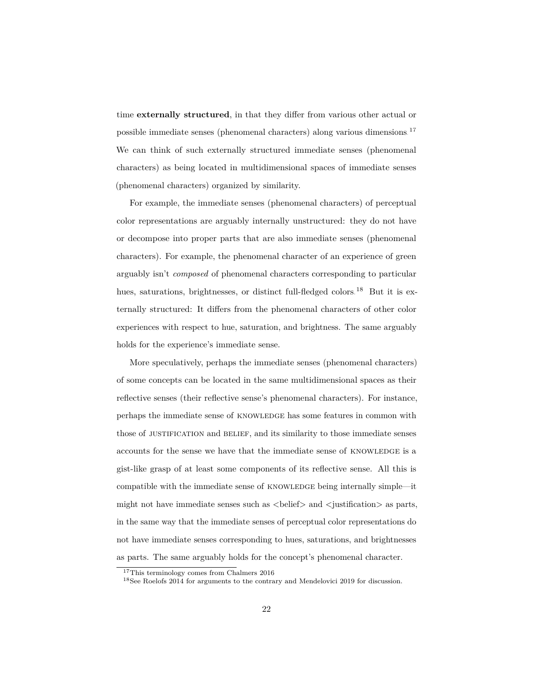time **externally structured**, in that they differ from various other actual or possible immediate senses (phenomenal characters) along various dimensions.[17](#page-21-0) We can think of such externally structured immediate senses (phenomenal characters) as being located in multidimensional spaces of immediate senses (phenomenal characters) organized by similarity.

For example, the immediate senses (phenomenal characters) of perceptual color representations are arguably internally unstructured: they do not have or decompose into proper parts that are also immediate senses (phenomenal characters). For example, the phenomenal character of an experience of green arguably isn't *composed* of phenomenal characters corresponding to particular hues, saturations, brightnesses, or distinct full-fledged colors.<sup>[18](#page-21-1)</sup> But it is externally structured: It differs from the phenomenal characters of other color experiences with respect to hue, saturation, and brightness. The same arguably holds for the experience's immediate sense.

More speculatively, perhaps the immediate senses (phenomenal characters) of some concepts can be located in the same multidimensional spaces as their reflective senses (their reflective sense's phenomenal characters). For instance, perhaps the immediate sense of knowledge has some features in common with those of JUSTIFICATION and BELIEF, and its similarity to those immediate senses accounts for the sense we have that the immediate sense of KNOWLEDGE is a gist-like grasp of at least some components of its reflective sense. All this is compatible with the immediate sense of KNOWLEDGE being internally simple—it might not have immediate senses such as  $\langle$ belief $\rangle$  and  $\langle$ justification $\rangle$  as parts, in the same way that the immediate senses of perceptual color representations do not have immediate senses corresponding to hues, saturations, and brightnesses as parts. The same arguably holds for the concept's phenomenal character.

<span id="page-21-0"></span><sup>&</sup>lt;sup>17</sup>This terminology comes from [Chalmers 2016.](#page-29-10)

<span id="page-21-1"></span><sup>18</sup>See [Roelofs 2014](#page-32-6) for arguments to the contrary and [Mendelovici 2019](#page-31-10) for discussion.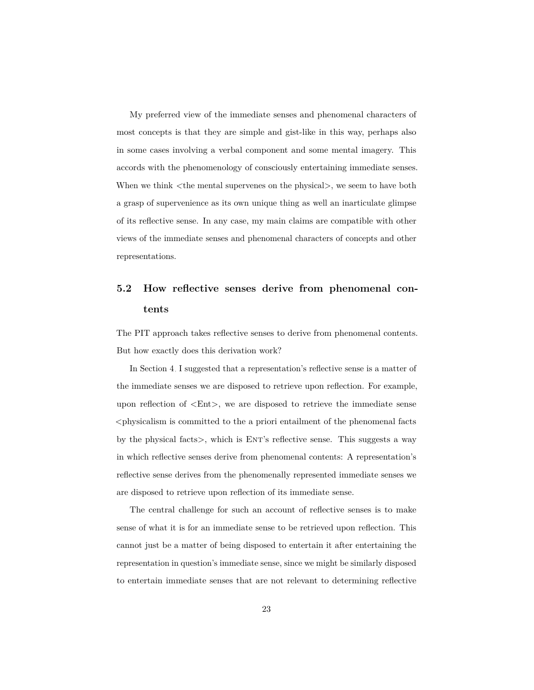My preferred view of the immediate senses and phenomenal characters of most concepts is that they are simple and gist-like in this way, perhaps also in some cases involving a verbal component and some mental imagery. This accords with the phenomenology of consciously entertaining immediate senses. When we think  $\lt$ the mental supervenes on the physical>, we seem to have both a grasp of supervenience as its own unique thing as well an inarticulate glimpse of its reflective sense. In any case, my main claims are compatible with other views of the immediate senses and phenomenal characters of concepts and other representations.

## **5.2 How reflective senses derive from phenomenal contents**

The PIT approach takes reflective senses to derive from phenomenal contents. But how exactly does this derivation work?

In Section [4,](#page-10-1) I suggested that a representation's reflective sense is a matter of the immediate senses we are disposed to retrieve upon reflection. For example, upon reflection of  $\langle Ent \rangle$ , we are disposed to retrieve the immediate sense  $\langle$ physicalism is committed to the a priori entailment of the phenomenal facts by the physical facts>, which is Ent's reflective sense. This suggests a way in which reflective senses derive from phenomenal contents: A representation's reflective sense derives from the phenomenally represented immediate senses we are disposed to retrieve upon reflection of its immediate sense.

The central challenge for such an account of reflective senses is to make sense of what it is for an immediate sense to be retrieved upon reflection. This cannot just be a matter of being disposed to entertain it after entertaining the representation in question's immediate sense, since we might be similarly disposed to entertain immediate senses that are not relevant to determining reflective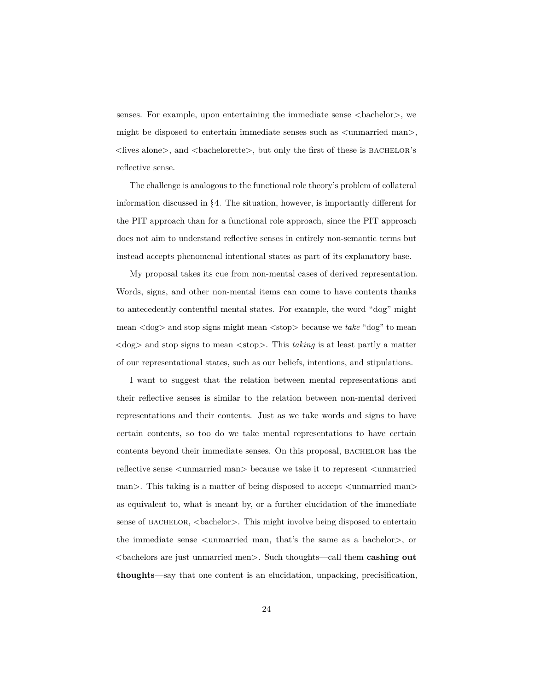senses. For example, upon entertaining the immediate sense <bachelor>, we might be disposed to entertain immediate senses such as  $\langle$ unmarried man $\rangle$ ,  $\langle$ lives alone $\rangle$ , and  $\langle$ bachelorette $\rangle$ , but only the first of these is BACHELOR's reflective sense.

The challenge is analogous to the functional role theory's problem of collateral information discussed in [§4.](#page-10-1) The situation, however, is importantly different for the PIT approach than for a functional role approach, since the PIT approach does not aim to understand reflective senses in entirely non-semantic terms but instead accepts phenomenal intentional states as part of its explanatory base.

My proposal takes its cue from non-mental cases of derived representation. Words, signs, and other non-mental items can come to have contents thanks to antecedently contentful mental states. For example, the word "dog" might mean  $\langle \text{dog} \rangle$  and stop signs might mean  $\langle \text{stop} \rangle$  because we *take* "dog" to mean  $\langle \text{dog}\rangle$  and stop signs to mean  $\langle \text{stop}\rangle$ . This *taking* is at least partly a matter of our representational states, such as our beliefs, intentions, and stipulations.

I want to suggest that the relation between mental representations and their reflective senses is similar to the relation between non-mental derived representations and their contents. Just as we take words and signs to have certain contents, so too do we take mental representations to have certain contents beyond their immediate senses. On this proposal, BACHELOR has the reflective sense <unmarried man> because we take it to represent <unmarried man>. This taking is a matter of being disposed to accept <unmarried man> as equivalent to, what is meant by, or a further elucidation of the immediate sense of BACHELOR, <br/>bachelor>. This might involve being disposed to entertain the immediate sense <unmarried man, that's the same as a bachelor>, or <bachelors are just unmarried men>. Such thoughts—call them **cashing out thoughts**—say that one content is an elucidation, unpacking, precisification,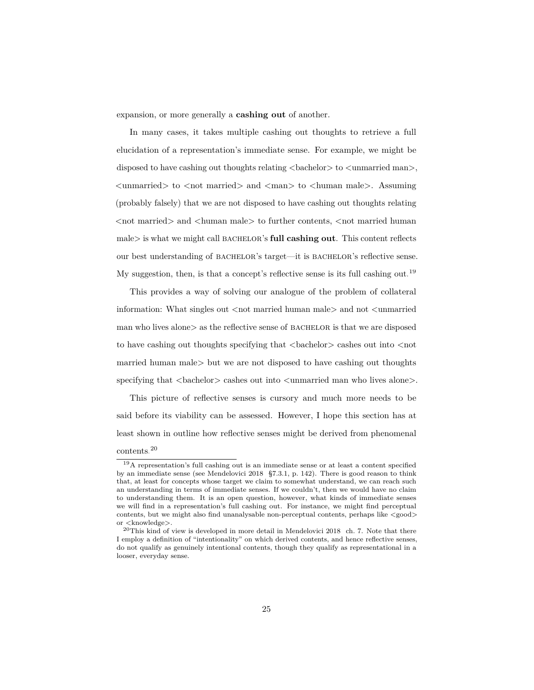expansion, or more generally a **cashing out** of another.

In many cases, it takes multiple cashing out thoughts to retrieve a full elucidation of a representation's immediate sense. For example, we might be disposed to have cashing out thoughts relating  $\alpha$  to  $\alpha$  and  $\alpha$  and  $\alpha$ , <unmarried> to <not married> and <man> to <human male>. Assuming (probably falsely) that we are not disposed to have cashing out thoughts relating  $\langle \text{not married} \rangle$  and  $\langle \text{human male} \rangle$  to further contents,  $\langle \text{not married human} \rangle$ male> is what we might call BACHELOR's **full cashing out**. This content reflects our best understanding of bachelor's target—it is bachelor's reflective sense. My suggestion, then, is that a concept's reflective sense is its full cashing out.[19](#page-24-0)

This provides a way of solving our analogue of the problem of collateral information: What singles out  $\langle$  not married human male $\rangle$  and not  $\langle$  unmarried man who lives alone  $\geq$  as the reflective sense of BACHELOR is that we are disposed to have cashing out thoughts specifying that  $\langle$ bachelor $\rangle$  cashes out into  $\langle$ not married human male> but we are not disposed to have cashing out thoughts specifying that  $\langle$ bachelor $\rangle$  cashes out into  $\langle$ unmarried man who lives alone $\rangle$ .

This picture of reflective senses is cursory and much more needs to be said before its viability can be assessed. However, I hope this section has at least shown in outline how reflective senses might be derived from phenomenal

#### contents.[20](#page-24-1)

<span id="page-24-0"></span><sup>19</sup>A representation's full cashing out is an immediate sense or at least a content specified by an immediate sense (see [Mendelovici 2018:](#page-31-0) §7.3.1, p. 142). There is good reason to think that, at least for concepts whose target we claim to somewhat understand, we can reach such an understanding in terms of immediate senses. If we couldn't, then we would have no claim to understanding them. It is an open question, however, what kinds of immediate senses we will find in a representation's full cashing out. For instance, we might find perceptual contents, but we might also find unanalysable non-perceptual contents, perhaps like <good> or  $<$ knowledge $>$ .

<span id="page-24-1"></span><sup>20</sup>This kind of view is developed in more detail in [Mendelovici 2018:](#page-31-0) ch. 7. Note that there I employ a definition of "intentionality" on which derived contents, and hence reflective senses, do not qualify as genuinely intentional contents, though they qualify as representational in a looser, everyday sense.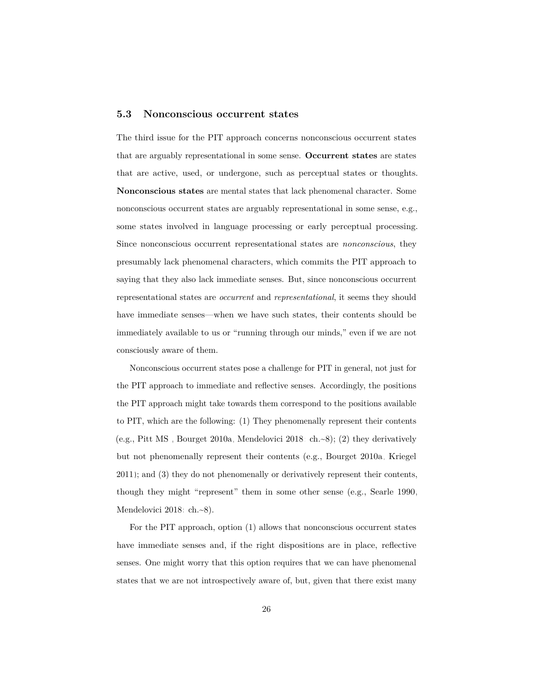#### **5.3 Nonconscious occurrent states**

The third issue for the PIT approach concerns nonconscious occurrent states that are arguably representational in some sense. **Occurrent states** are states that are active, used, or undergone, such as perceptual states or thoughts. **Nonconscious states** are mental states that lack phenomenal character. Some nonconscious occurrent states are arguably representational in some sense, e.g., some states involved in language processing or early perceptual processing. Since nonconscious occurrent representational states are *nonconscious*, they presumably lack phenomenal characters, which commits the PIT approach to saying that they also lack immediate senses. But, since nonconscious occurrent representational states are *occurrent* and *representational*, it seems they should have immediate senses—when we have such states, their contents should be immediately available to us or "running through our minds," even if we are not consciously aware of them.

Nonconscious occurrent states pose a challenge for PIT in general, not just for the PIT approach to immediate and reflective senses. Accordingly, the positions the PIT approach might take towards them correspond to the positions available to PIT, which are the following: (1) They phenomenally represent their contents (e.g., [Pitt MS ,](#page-31-11) [Bourget 2010a,](#page-28-1) [Mendelovici 2018:](#page-31-0) ch.~8); (2) they derivatively but not phenomenally represent their contents (e.g., [Bourget 2010a,](#page-28-1) [Kriegel](#page-30-9) [2011\)](#page-30-9); and (3) they do not phenomenally or derivatively represent their contents, though they might "represent" them in some other sense (e.g., [Searle 1990,](#page-32-7) [Mendelovici 2018:](#page-31-0) ch.~8).

For the PIT approach, option (1) allows that nonconscious occurrent states have immediate senses and, if the right dispositions are in place, reflective senses. One might worry that this option requires that we can have phenomenal states that we are not introspectively aware of, but, given that there exist many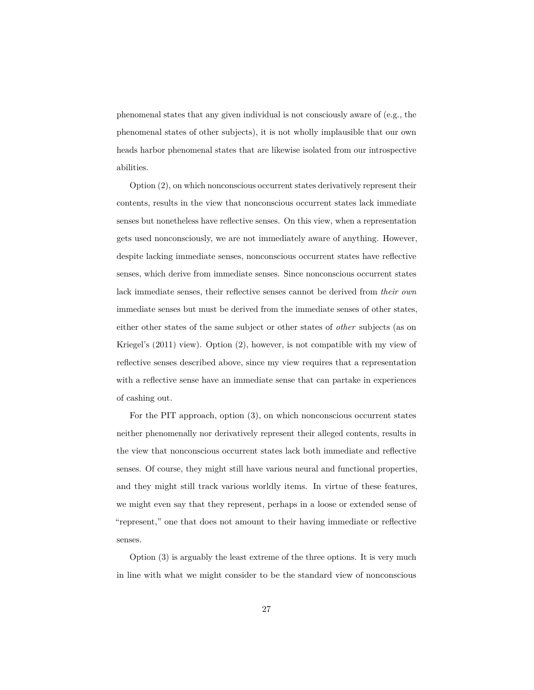phenomenal states that any given individual is not consciously aware of (e.g., the phenomenal states of other subjects), it is not wholly implausible that our own heads harbor phenomenal states that are likewise isolated from our introspective abilities.

Option (2), on which nonconscious occurrent states derivatively represent their contents, results in the view that nonconscious occurrent states lack immediate senses but nonetheless have reflective senses. On this view, when a representation gets used nonconsciously, we are not immediately aware of anything. However, despite lacking immediate senses, nonconscious occurrent states have reflective senses, which derive from immediate senses. Since nonconscious occurrent states lack immediate senses, their reflective senses cannot be derived from *their own* immediate senses but must be derived from the immediate senses of other states, either other states of the same subject or other states of *other* subjects (as on Kriegel's [\(2011\)](#page-30-9) view). Option (2), however, is not compatible with my view of reflective senses described above, since my view requires that a representation with a reflective sense have an immediate sense that can partake in experiences of cashing out.

For the PIT approach, option (3), on which nonconscious occurrent states neither phenomenally nor derivatively represent their alleged contents, results in the view that nonconscious occurrent states lack both immediate and reflective senses. Of course, they might still have various neural and functional properties, and they might still track various worldly items. In virtue of these features, we might even say that they represent, perhaps in a loose or extended sense of "represent," one that does not amount to their having immediate or reflective senses.

Option (3) is arguably the least extreme of the three options. It is very much in line with what we might consider to be the standard view of nonconscious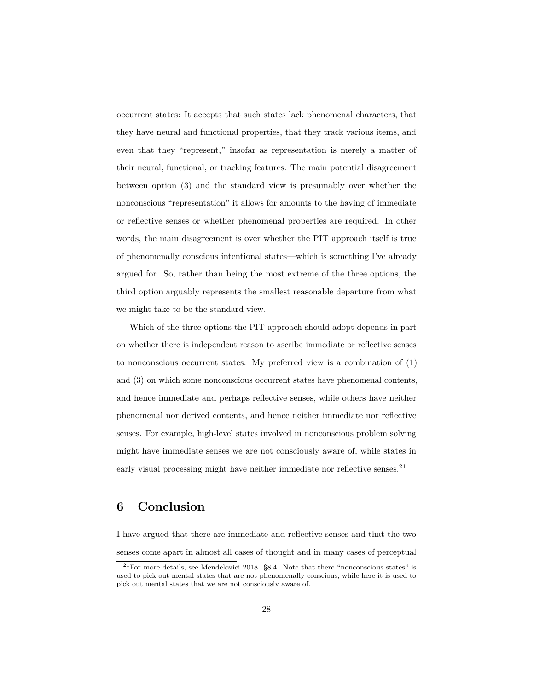occurrent states: It accepts that such states lack phenomenal characters, that they have neural and functional properties, that they track various items, and even that they "represent," insofar as representation is merely a matter of their neural, functional, or tracking features. The main potential disagreement between option (3) and the standard view is presumably over whether the nonconscious "representation" it allows for amounts to the having of immediate or reflective senses or whether phenomenal properties are required. In other words, the main disagreement is over whether the PIT approach itself is true of phenomenally conscious intentional states—which is something I've already argued for. So, rather than being the most extreme of the three options, the third option arguably represents the smallest reasonable departure from what we might take to be the standard view.

Which of the three options the PIT approach should adopt depends in part on whether there is independent reason to ascribe immediate or reflective senses to nonconscious occurrent states. My preferred view is a combination of (1) and (3) on which some nonconscious occurrent states have phenomenal contents, and hence immediate and perhaps reflective senses, while others have neither phenomenal nor derived contents, and hence neither immediate nor reflective senses. For example, high-level states involved in nonconscious problem solving might have immediate senses we are not consciously aware of, while states in early visual processing might have neither immediate nor reflective senses.<sup>[21](#page-27-0)</sup>

### **6 Conclusion**

I have argued that there are immediate and reflective senses and that the two senses come apart in almost all cases of thought and in many cases of perceptual

<span id="page-27-0"></span> $21$  For more details, see [Mendelovici 2018:](#page-31-0) §8.4. Note that there "nonconscious states" is used to pick out mental states that are not phenomenally conscious, while here it is used to pick out mental states that we are not consciously aware of.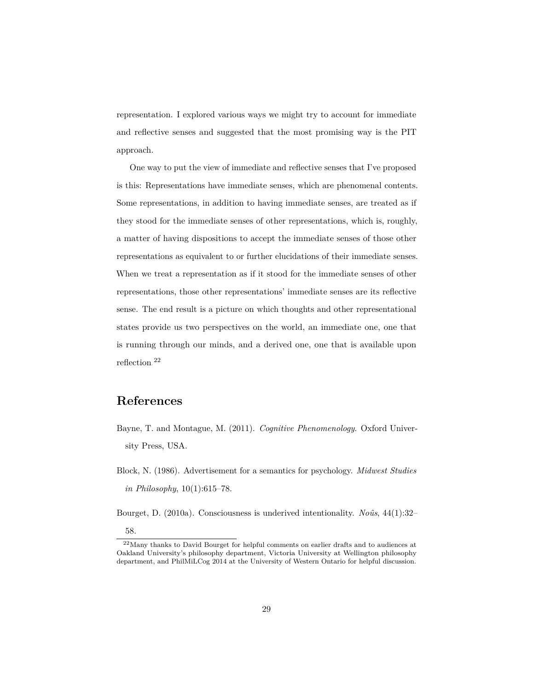representation. I explored various ways we might try to account for immediate and reflective senses and suggested that the most promising way is the PIT approach.

One way to put the view of immediate and reflective senses that I've proposed is this: Representations have immediate senses, which are phenomenal contents. Some representations, in addition to having immediate senses, are treated as if they stood for the immediate senses of other representations, which is, roughly, a matter of having dispositions to accept the immediate senses of those other representations as equivalent to or further elucidations of their immediate senses. When we treat a representation as if it stood for the immediate senses of other representations, those other representations' immediate senses are its reflective sense. The end result is a picture on which thoughts and other representational states provide us two perspectives on the world, an immediate one, one that is running through our minds, and a derived one, one that is available upon reflection.[22](#page-28-3)

## **References**

- <span id="page-28-2"></span>Bayne, T. and Montague, M. (2011). *Cognitive Phenomenology*. Oxford University Press, USA.
- <span id="page-28-0"></span>Block, N. (1986). Advertisement for a semantics for psychology. *Midwest Studies in Philosophy*, 10(1):615–78.

<span id="page-28-1"></span>Bourget, D. (2010a). Consciousness is underived intentionality. *Noûs*, 44(1):32–

<sup>58.</sup>

<span id="page-28-3"></span> $^{22}\rm{Many}$  thanks to David Bourget for helpful comments on earlier drafts and to audiences at Oakland University's philosophy department, Victoria University at Wellington philosophy department, and PhilMiLCog 2014 at the University of Western Ontario for helpful discussion.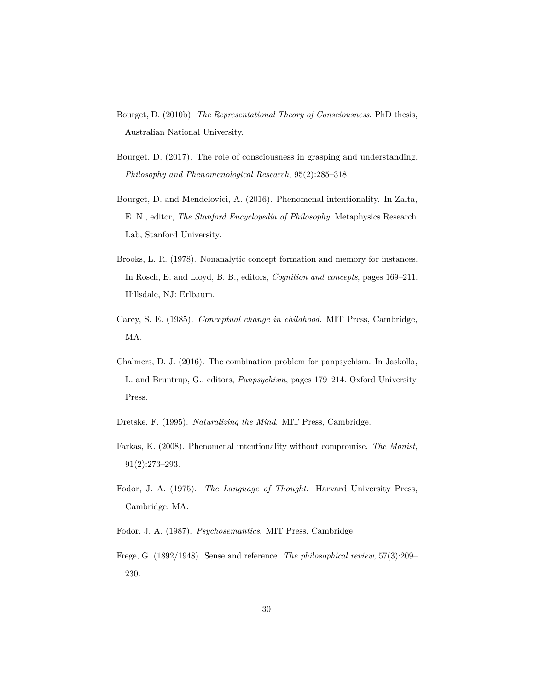- <span id="page-29-8"></span>Bourget, D. (2010b). *The Representational Theory of Consciousness*. PhD thesis, Australian National University.
- <span id="page-29-2"></span>Bourget, D. (2017). The role of consciousness in grasping and understanding. *Philosophy and Phenomenological Research*, 95(2):285–318.
- <span id="page-29-9"></span>Bourget, D. and Mendelovici, A. (2016). Phenomenal intentionality. In Zalta, E. N., editor, *The Stanford Encyclopedia of Philosophy*. Metaphysics Research Lab, Stanford University.
- <span id="page-29-3"></span>Brooks, L. R. (1978). Nonanalytic concept formation and memory for instances. In Rosch, E. and Lloyd, B. B., editors, *Cognition and concepts*, pages 169–211. Hillsdale, NJ: Erlbaum.
- <span id="page-29-4"></span>Carey, S. E. (1985). *Conceptual change in childhood*. MIT Press, Cambridge, MA.
- <span id="page-29-10"></span>Chalmers, D. J. (2016). The combination problem for panpsychism. In Jaskolla, L. and Bruntrup, G., editors, *Panpsychism*, pages 179–214. Oxford University Press.
- <span id="page-29-5"></span>Dretske, F. (1995). *Naturalizing the Mind*. MIT Press, Cambridge.
- <span id="page-29-7"></span>Farkas, K. (2008). Phenomenal intentionality without compromise. *The Monist*, 91(2):273–293.
- <span id="page-29-1"></span>Fodor, J. A. (1975). *The Language of Thought*. Harvard University Press, Cambridge, MA.
- <span id="page-29-6"></span>Fodor, J. A. (1987). *Psychosemantics*. MIT Press, Cambridge.
- <span id="page-29-0"></span>Frege, G. (1892/1948). Sense and reference. *The philosophical review*, 57(3):209– 230.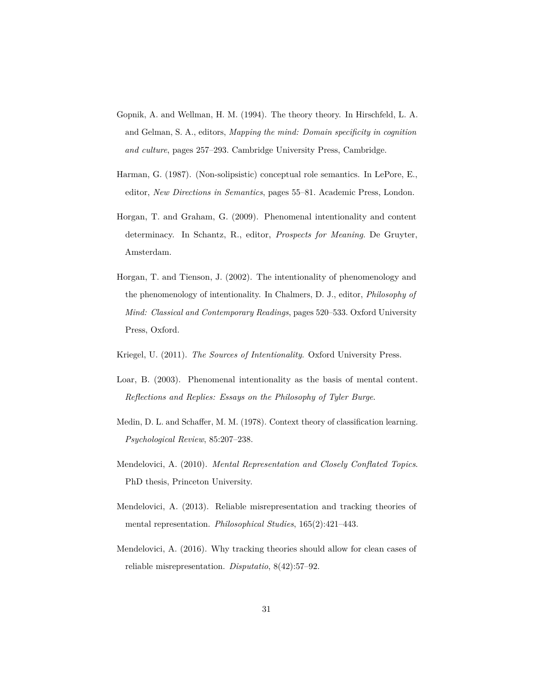- <span id="page-30-2"></span>Gopnik, A. and Wellman, H. M. (1994). The theory theory. In Hirschfeld, L. A. and Gelman, S. A., editors, *Mapping the mind: Domain specificity in cognition and culture*, pages 257–293. Cambridge University Press, Cambridge.
- <span id="page-30-3"></span>Harman, G. (1987). (Non-solipsistic) conceptual role semantics. In LePore, E., editor, *New Directions in Semantics*, pages 55–81. Academic Press, London.
- <span id="page-30-8"></span>Horgan, T. and Graham, G. (2009). Phenomenal intentionality and content determinacy. In Schantz, R., editor, *Prospects for Meaning*. De Gruyter, Amsterdam.
- <span id="page-30-7"></span>Horgan, T. and Tienson, J. (2002). The intentionality of phenomenology and the phenomenology of intentionality. In Chalmers, D. J., editor, *Philosophy of Mind: Classical and Contemporary Readings*, pages 520–533. Oxford University Press, Oxford.
- <span id="page-30-9"></span>Kriegel, U. (2011). *The Sources of Intentionality*. Oxford University Press.
- <span id="page-30-6"></span>Loar, B. (2003). Phenomenal intentionality as the basis of mental content. *Reflections and Replies: Essays on the Philosophy of Tyler Burge*.
- <span id="page-30-1"></span>Medin, D. L. and Schaffer, M. M. (1978). Context theory of classification learning. *Psychological Review*, 85:207–238.
- <span id="page-30-0"></span>Mendelovici, A. (2010). *Mental Representation and Closely Conflated Topics*. PhD thesis, Princeton University.
- <span id="page-30-4"></span>Mendelovici, A. (2013). Reliable misrepresentation and tracking theories of mental representation. *Philosophical Studies*, 165(2):421–443.
- <span id="page-30-5"></span>Mendelovici, A. (2016). Why tracking theories should allow for clean cases of reliable misrepresentation. *Disputatio*, 8(42):57–92.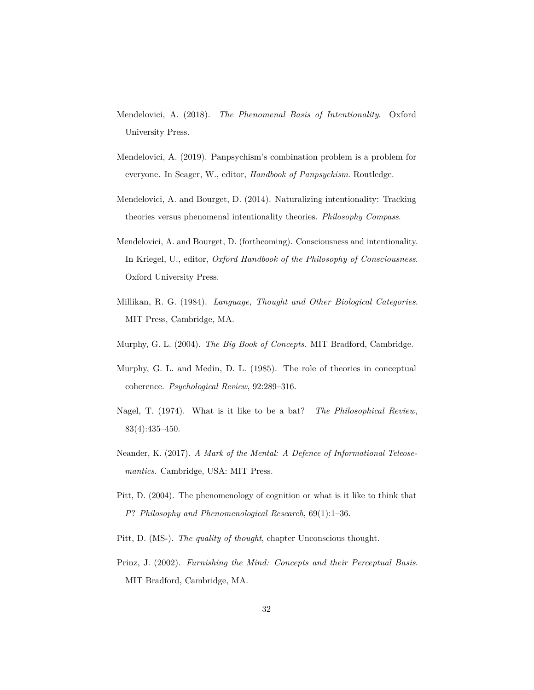- <span id="page-31-0"></span>Mendelovici, A. (2018). *The Phenomenal Basis of Intentionality*. Oxford University Press.
- <span id="page-31-10"></span>Mendelovici, A. (2019). Panpsychism's combination problem is a problem for everyone. In Seager, W., editor, *Handbook of Panpsychism*. Routledge.
- <span id="page-31-8"></span>Mendelovici, A. and Bourget, D. (2014). Naturalizing intentionality: Tracking theories versus phenomenal intentionality theories. *Philosophy Compass*.
- <span id="page-31-5"></span>Mendelovici, A. and Bourget, D. (forthcoming). Consciousness and intentionality. In Kriegel, U., editor, *Oxford Handbook of the Philosophy of Consciousness*. Oxford University Press.
- <span id="page-31-4"></span>Millikan, R. G. (1984). *Language, Thought and Other Biological Categories*. MIT Press, Cambridge, MA.
- <span id="page-31-2"></span>Murphy, G. L. (2004). *The Big Book of Concepts*. MIT Bradford, Cambridge.
- <span id="page-31-1"></span>Murphy, G. L. and Medin, D. L. (1985). The role of theories in conceptual coherence. *Psychological Review*, 92:289–316.
- <span id="page-31-6"></span>Nagel, T. (1974). What is it like to be a bat? *The Philosophical Review*, 83(4):435–450.
- <span id="page-31-3"></span>Neander, K. (2017). *A Mark of the Mental: A Defence of Informational Teleosemantics*. Cambridge, USA: MIT Press.
- <span id="page-31-7"></span>Pitt, D. (2004). The phenomenology of cognition or what is it like to think that *P*? *Philosophy and Phenomenological Research*, 69(1):1–36.
- <span id="page-31-11"></span>Pitt, D. (MS-). *The quality of thought*, chapter Unconscious thought.
- <span id="page-31-9"></span>Prinz, J. (2002). *Furnishing the Mind: Concepts and their Perceptual Basis*. MIT Bradford, Cambridge, MA.